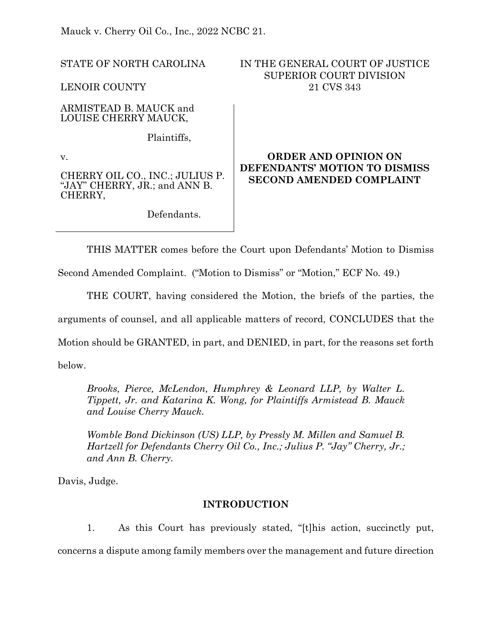Mauck v. Cherry Oil Co., Inc., 2022 NCBC 21.

STATE OF NORTH CAROLINA

LENOIR COUNTY

ARMISTEAD B. MAUCK and LOUISE CHERRY MAUCK,

Plaintiffs,

v.

CHERRY OIL CO., INC.; JULIUS P. "JAY" CHERRY, JR.; and ANN B. CHERRY,

Defendants.

# IN THE GENERAL COURT OF JUSTICE SUPERIOR COURT DIVISION 21 CVS 343

# **ORDER AND OPINION ON DEFENDANTS' MOTION TO DISMISS SECOND AMENDED COMPLAINT**

THIS MATTER comes before the Court upon Defendants' Motion to Dismiss

Second Amended Complaint. ("Motion to Dismiss" or "Motion," ECF No. 49.)

THE COURT, having considered the Motion, the briefs of the parties, the arguments of counsel, and all applicable matters of record, CONCLUDES that the Motion should be GRANTED, in part, and DENIED, in part, for the reasons set forth below.

*Brooks, Pierce, McLendon, Humphrey & Leonard LLP, by Walter L. Tippett, Jr. and Katarina K. Wong, for Plaintiffs Armistead B. Mauck and Louise Cherry Mauck.* 

*Womble Bond Dickinson (US) LLP, by Pressly M. Millen and Samuel B. Hartzell for Defendants Cherry Oil Co., Inc.; Julius P. "Jay" Cherry, Jr.; and Ann B. Cherry.* 

Davis, Judge.

### **INTRODUCTION**

1. As this Court has previously stated, "[t]his action, succinctly put, concerns a dispute among family members over the management and future direction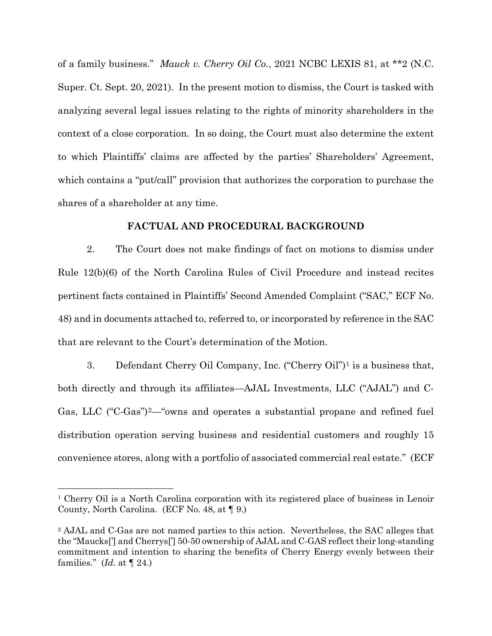of a family business." *Mauck v. Cherry Oil Co.*, 2021 NCBC LEXIS 81, at \*\*2 (N.C. Super. Ct. Sept. 20, 2021). In the present motion to dismiss, the Court is tasked with analyzing several legal issues relating to the rights of minority shareholders in the context of a close corporation. In so doing, the Court must also determine the extent to which Plaintiffs' claims are affected by the parties' Shareholders' Agreement, which contains a "put/call" provision that authorizes the corporation to purchase the shares of a shareholder at any time.

### **FACTUAL AND PROCEDURAL BACKGROUND**

2. The Court does not make findings of fact on motions to dismiss under Rule 12(b)(6) of the North Carolina Rules of Civil Procedure and instead recites pertinent facts contained in Plaintiffs' Second Amended Complaint ("SAC," ECF No. 48) and in documents attached to, referred to, or incorporated by reference in the SAC that are relevant to the Court's determination of the Motion.

3. Defendant Cherry Oil Company, Inc. ("Cherry Oil")[1](#page-1-0) is a business that, both directly and through its affiliates—AJAL Investments, LLC ("AJAL") and C-Gas, LLC ("C-Gas")<sup>2</sup>— "owns and operates a substantial propane and refined fuel distribution operation serving business and residential customers and roughly 15 convenience stores, along with a portfolio of associated commercial real estate." (ECF

<span id="page-1-0"></span><sup>1</sup> Cherry Oil is a North Carolina corporation with its registered place of business in Lenoir County, North Carolina. (ECF No. 48, at ¶ 9.)

<span id="page-1-1"></span><sup>2</sup> AJAL and C-Gas are not named parties to this action. Nevertheless, the SAC alleges that the "Maucks['] and Cherrys['] 50-50 ownership of AJAL and C-GAS reflect their long-standing commitment and intention to sharing the benefits of Cherry Energy evenly between their families." (*Id*. at ¶ 24.)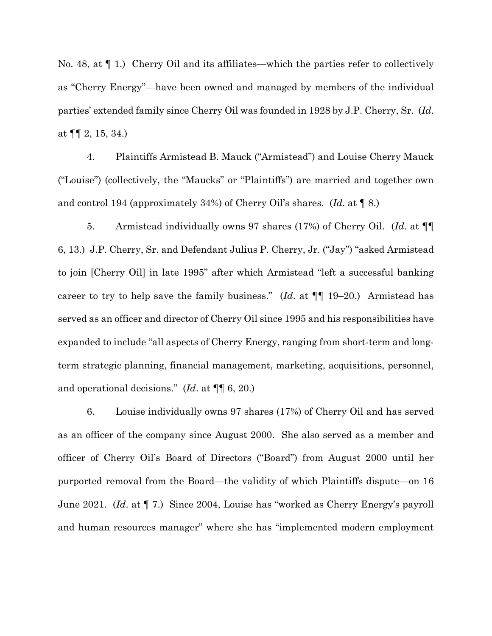No. 48, at  $\P$  1.) Cherry Oil and its affiliates—which the parties refer to collectively as "Cherry Energy"—have been owned and managed by members of the individual parties' extended family since Cherry Oil was founded in 1928 by J.P. Cherry, Sr. (*Id*. at  $\P\P$  2, 15, 34.)

4. Plaintiffs Armistead B. Mauck ("Armistead") and Louise Cherry Mauck ("Louise") (collectively, the "Maucks" or "Plaintiffs") are married and together own and control 194 (approximately 34%) of Cherry Oil's shares. (*Id*. at ¶ 8.)

5. Armistead individually owns 97 shares (17%) of Cherry Oil. (*Id*. at ¶¶ 6, 13.) J.P. Cherry, Sr. and Defendant Julius P. Cherry, Jr. ("Jay") "asked Armistead to join [Cherry Oil] in late 1995" after which Armistead "left a successful banking career to try to help save the family business." (*Id*. at ¶¶ 19–20.) Armistead has served as an officer and director of Cherry Oil since 1995 and his responsibilities have expanded to include "all aspects of Cherry Energy, ranging from short-term and longterm strategic planning, financial management, marketing, acquisitions, personnel, and operational decisions." (*Id*. at ¶¶ 6, 20.)

6. Louise individually owns 97 shares (17%) of Cherry Oil and has served as an officer of the company since August 2000. She also served as a member and officer of Cherry Oil's Board of Directors ("Board") from August 2000 until her purported removal from the Board—the validity of which Plaintiffs dispute—on 16 June 2021. (*Id*. at ¶ 7.) Since 2004, Louise has "worked as Cherry Energy's payroll and human resources manager" where she has "implemented modern employment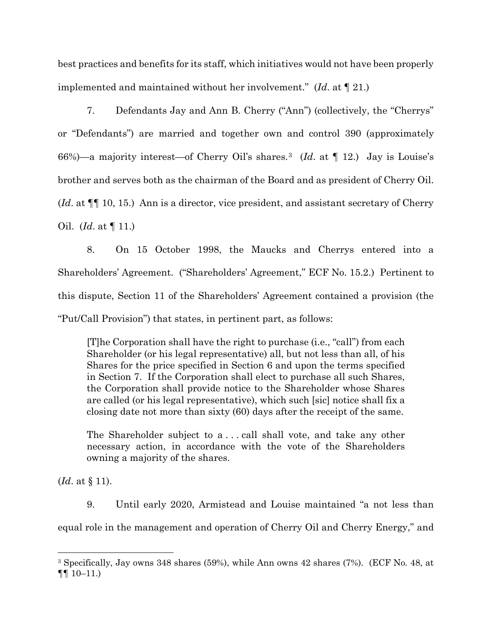best practices and benefits for its staff, which initiatives would not have been properly implemented and maintained without her involvement." (*Id*. at ¶ 21.)

7. Defendants Jay and Ann B. Cherry ("Ann") (collectively, the "Cherrys" or "Defendants") are married and together own and control 390 (approximately 66%)—a majority interest—of Cherry Oil's shares.[3](#page-3-0) (*Id*. at ¶ 12.) Jay is Louise's brother and serves both as the chairman of the Board and as president of Cherry Oil. (*Id*. at ¶¶ 10, 15.) Ann is a director, vice president, and assistant secretary of Cherry Oil. (*Id*. at ¶ 11.)

8. On 15 October 1998, the Maucks and Cherrys entered into a Shareholders' Agreement. ("Shareholders' Agreement," ECF No. 15.2.) Pertinent to this dispute, Section 11 of the Shareholders' Agreement contained a provision (the "Put/Call Provision") that states, in pertinent part, as follows:

[T]he Corporation shall have the right to purchase (i.e., "call") from each Shareholder (or his legal representative) all, but not less than all, of his Shares for the price specified in Section 6 and upon the terms specified in Section 7. If the Corporation shall elect to purchase all such Shares, the Corporation shall provide notice to the Shareholder whose Shares are called (or his legal representative), which such [sic] notice shall fix a closing date not more than sixty (60) days after the receipt of the same.

The Shareholder subject to a . . . call shall vote, and take any other necessary action, in accordance with the vote of the Shareholders owning a majority of the shares.

(*Id*. at § 11).

9. Until early 2020, Armistead and Louise maintained "a not less than equal role in the management and operation of Cherry Oil and Cherry Energy," and

<span id="page-3-0"></span><sup>3</sup> Specifically, Jay owns 348 shares (59%), while Ann owns 42 shares (7%). (ECF No. 48, at  $\P\P$  10–11.)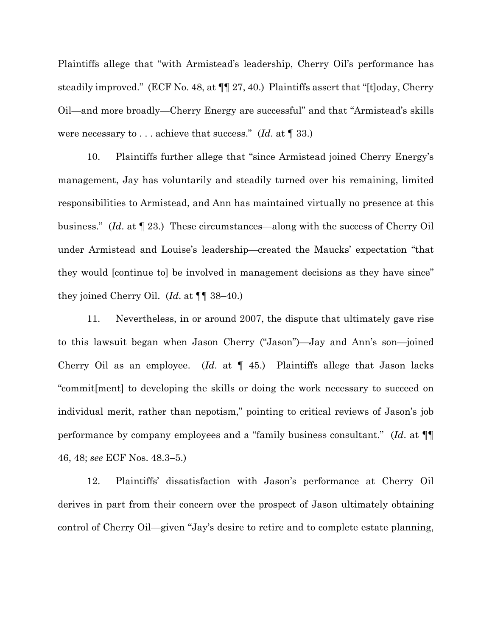Plaintiffs allege that "with Armistead's leadership, Cherry Oil's performance has steadily improved." (ECF No. 48, at ¶¶ 27, 40.) Plaintiffs assert that "[t]oday, Cherry Oil—and more broadly—Cherry Energy are successful" and that "Armistead's skills were necessary to . . . achieve that success." (*Id*. at ¶ 33.)

10. Plaintiffs further allege that "since Armistead joined Cherry Energy's management, Jay has voluntarily and steadily turned over his remaining, limited responsibilities to Armistead, and Ann has maintained virtually no presence at this business." (*Id*. at ¶ 23.) These circumstances—along with the success of Cherry Oil under Armistead and Louise's leadership—created the Maucks' expectation "that they would [continue to] be involved in management decisions as they have since" they joined Cherry Oil. (*Id*. at ¶¶ 38–40.)

11. Nevertheless, in or around 2007, the dispute that ultimately gave rise to this lawsuit began when Jason Cherry ("Jason")—Jay and Ann's son—joined Cherry Oil as an employee. (*Id*. at ¶ 45.) Plaintiffs allege that Jason lacks "commit[ment] to developing the skills or doing the work necessary to succeed on individual merit, rather than nepotism," pointing to critical reviews of Jason's job performance by company employees and a "family business consultant." (*Id*. at ¶¶ 46, 48; *see* ECF Nos. 48.3–5.)

12. Plaintiffs' dissatisfaction with Jason's performance at Cherry Oil derives in part from their concern over the prospect of Jason ultimately obtaining control of Cherry Oil—given "Jay's desire to retire and to complete estate planning,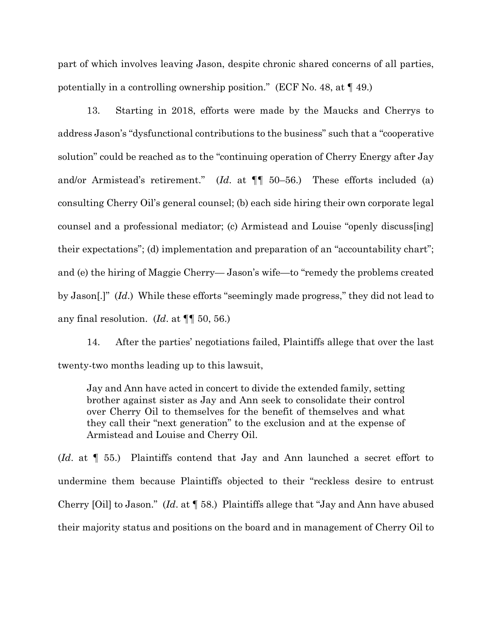part of which involves leaving Jason, despite chronic shared concerns of all parties, potentially in a controlling ownership position." (ECF No. 48, at ¶ 49.)

13. Starting in 2018, efforts were made by the Maucks and Cherrys to address Jason's "dysfunctional contributions to the business" such that a "cooperative solution" could be reached as to the "continuing operation of Cherry Energy after Jay and/or Armistead's retirement." (*Id*. at ¶¶ 50–56.) These efforts included (a) consulting Cherry Oil's general counsel; (b) each side hiring their own corporate legal counsel and a professional mediator; (c) Armistead and Louise "openly discuss[ing] their expectations"; (d) implementation and preparation of an "accountability chart"; and (e) the hiring of Maggie Cherry— Jason's wife—to "remedy the problems created by Jason[.]" (*Id*.) While these efforts "seemingly made progress," they did not lead to any final resolution. (*Id*. at ¶¶ 50, 56.)

14. After the parties' negotiations failed, Plaintiffs allege that over the last twenty-two months leading up to this lawsuit,

Jay and Ann have acted in concert to divide the extended family, setting brother against sister as Jay and Ann seek to consolidate their control over Cherry Oil to themselves for the benefit of themselves and what they call their "next generation" to the exclusion and at the expense of Armistead and Louise and Cherry Oil.

(*Id*. at ¶ 55.) Plaintiffs contend that Jay and Ann launched a secret effort to undermine them because Plaintiffs objected to their "reckless desire to entrust Cherry [Oil] to Jason." (*Id*. at ¶ 58.) Plaintiffs allege that "Jay and Ann have abused their majority status and positions on the board and in management of Cherry Oil to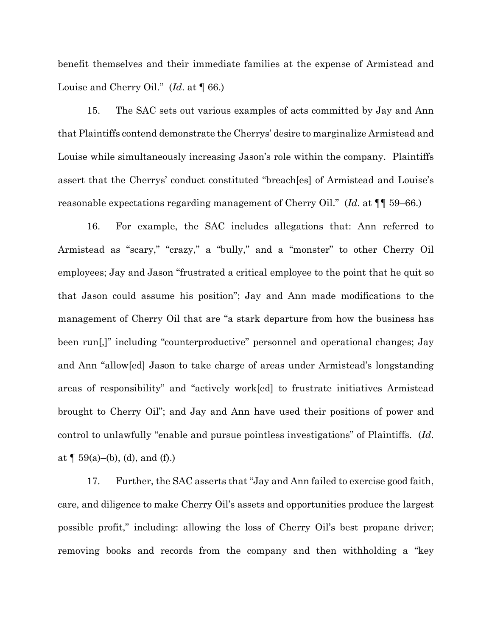benefit themselves and their immediate families at the expense of Armistead and Louise and Cherry Oil." (*Id*. at ¶ 66.)

15. The SAC sets out various examples of acts committed by Jay and Ann that Plaintiffs contend demonstrate the Cherrys' desire to marginalize Armistead and Louise while simultaneously increasing Jason's role within the company. Plaintiffs assert that the Cherrys' conduct constituted "breach[es] of Armistead and Louise's reasonable expectations regarding management of Cherry Oil." (*Id*. at ¶¶ 59–66.)

16. For example, the SAC includes allegations that: Ann referred to Armistead as "scary," "crazy," a "bully," and a "monster" to other Cherry Oil employees; Jay and Jason "frustrated a critical employee to the point that he quit so that Jason could assume his position"; Jay and Ann made modifications to the management of Cherry Oil that are "a stark departure from how the business has been run[,]" including "counterproductive" personnel and operational changes; Jay and Ann "allow[ed] Jason to take charge of areas under Armistead's longstanding areas of responsibility" and "actively work[ed] to frustrate initiatives Armistead brought to Cherry Oil"; and Jay and Ann have used their positions of power and control to unlawfully "enable and pursue pointless investigations" of Plaintiffs. (*Id*. at  $\P$  59(a)–(b), (d), and (f).)

17. Further, the SAC asserts that "Jay and Ann failed to exercise good faith, care, and diligence to make Cherry Oil's assets and opportunities produce the largest possible profit," including: allowing the loss of Cherry Oil's best propane driver; removing books and records from the company and then withholding a "key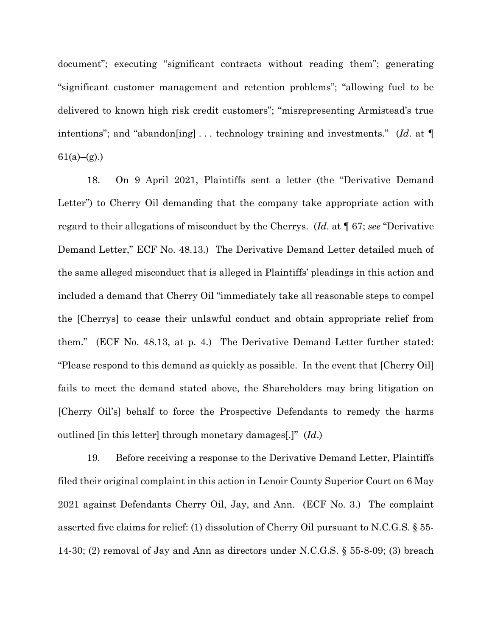document"; executing "significant contracts without reading them"; generating "significant customer management and retention problems"; "allowing fuel to be delivered to known high risk credit customers"; "misrepresenting Armistead's true intentions"; and "abandon[ing] . . . technology training and investments." (*Id*. at ¶  $61(a)–(g)$ .)

18. On 9 April 2021, Plaintiffs sent a letter (the "Derivative Demand Letter") to Cherry Oil demanding that the company take appropriate action with regard to their allegations of misconduct by the Cherrys. (*Id*. at ¶ 67; *see* "Derivative Demand Letter," ECF No. 48.13.) The Derivative Demand Letter detailed much of the same alleged misconduct that is alleged in Plaintiffs' pleadings in this action and included a demand that Cherry Oil "immediately take all reasonable steps to compel the [Cherrys] to cease their unlawful conduct and obtain appropriate relief from them." (ECF No. 48.13, at p. 4.) The Derivative Demand Letter further stated: "Please respond to this demand as quickly as possible. In the event that [Cherry Oil] fails to meet the demand stated above, the Shareholders may bring litigation on [Cherry Oil's] behalf to force the Prospective Defendants to remedy the harms outlined [in this letter] through monetary damages[.]" (*Id*.)

19. Before receiving a response to the Derivative Demand Letter, Plaintiffs filed their original complaint in this action in Lenoir County Superior Court on 6 May 2021 against Defendants Cherry Oil, Jay, and Ann. (ECF No. 3.) The complaint asserted five claims for relief: (1) dissolution of Cherry Oil pursuant to N.C.G.S. § 55- 14-30; (2) removal of Jay and Ann as directors under N.C.G.S. § 55-8-09; (3) breach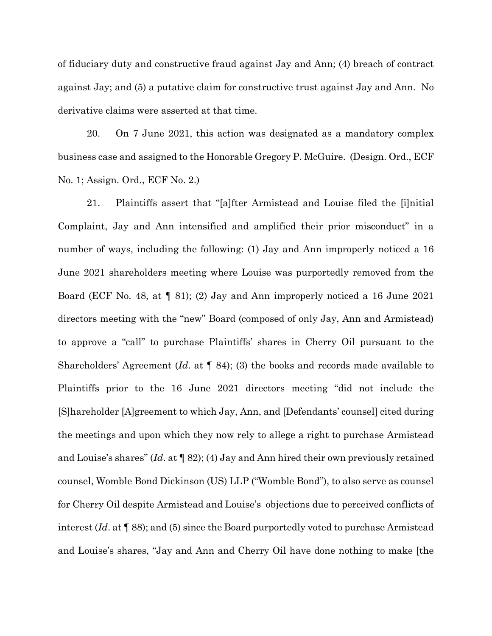of fiduciary duty and constructive fraud against Jay and Ann; (4) breach of contract against Jay; and (5) a putative claim for constructive trust against Jay and Ann. No derivative claims were asserted at that time.

20. On 7 June 2021, this action was designated as a mandatory complex business case and assigned to the Honorable Gregory P. McGuire. (Design. Ord., ECF No. 1; Assign. Ord., ECF No. 2.)

21. Plaintiffs assert that "[a]fter Armistead and Louise filed the [i]nitial Complaint, Jay and Ann intensified and amplified their prior misconduct" in a number of ways, including the following: (1) Jay and Ann improperly noticed a 16 June 2021 shareholders meeting where Louise was purportedly removed from the Board (ECF No. 48, at ¶ 81); (2) Jay and Ann improperly noticed a 16 June 2021 directors meeting with the "new" Board (composed of only Jay, Ann and Armistead) to approve a "call" to purchase Plaintiffs' shares in Cherry Oil pursuant to the Shareholders' Agreement (*Id*. at ¶ 84); (3) the books and records made available to Plaintiffs prior to the 16 June 2021 directors meeting "did not include the [S]hareholder [A]greement to which Jay, Ann, and [Defendants' counsel] cited during the meetings and upon which they now rely to allege a right to purchase Armistead and Louise's shares" (*Id*. at ¶ 82); (4) Jay and Ann hired their own previously retained counsel, Womble Bond Dickinson (US) LLP ("Womble Bond"), to also serve as counsel for Cherry Oil despite Armistead and Louise's objections due to perceived conflicts of interest (*Id*. at ¶ 88); and (5) since the Board purportedly voted to purchase Armistead and Louise's shares, "Jay and Ann and Cherry Oil have done nothing to make [the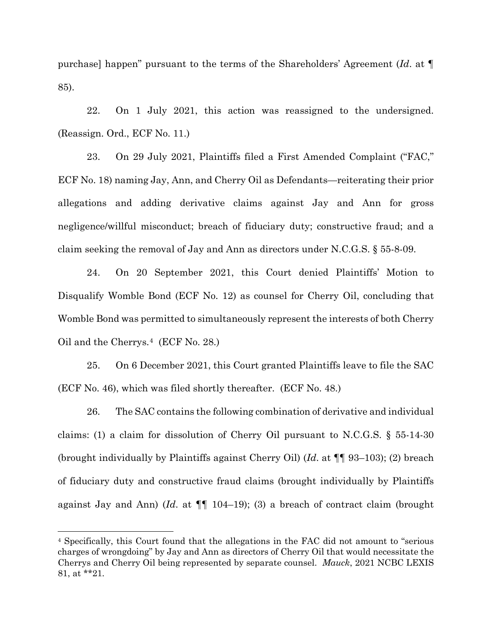purchase] happen" pursuant to the terms of the Shareholders' Agreement (*Id*. at ¶ 85).

22. On 1 July 2021, this action was reassigned to the undersigned. (Reassign. Ord., ECF No. 11.)

23. On 29 July 2021, Plaintiffs filed a First Amended Complaint ("FAC," ECF No. 18) naming Jay, Ann, and Cherry Oil as Defendants—reiterating their prior allegations and adding derivative claims against Jay and Ann for gross negligence/willful misconduct; breach of fiduciary duty; constructive fraud; and a claim seeking the removal of Jay and Ann as directors under N.C.G.S. § 55-8-09.

24. On 20 September 2021, this Court denied Plaintiffs' Motion to Disqualify Womble Bond (ECF No. 12) as counsel for Cherry Oil, concluding that Womble Bond was permitted to simultaneously represent the interests of both Cherry Oil and the Cherrys.[4](#page-9-0) (ECF No. 28.)

25. On 6 December 2021, this Court granted Plaintiffs leave to file the SAC (ECF No. 46), which was filed shortly thereafter. (ECF No. 48.)

26. The SAC contains the following combination of derivative and individual claims: (1) a claim for dissolution of Cherry Oil pursuant to N.C.G.S. § 55-14-30 (brought individually by Plaintiffs against Cherry Oil) (*Id*. at ¶¶ 93–103); (2) breach of fiduciary duty and constructive fraud claims (brought individually by Plaintiffs against Jay and Ann) (*Id*. at ¶¶ 104–19); (3) a breach of contract claim (brought

<span id="page-9-0"></span><sup>4</sup> Specifically, this Court found that the allegations in the FAC did not amount to "serious charges of wrongdoing" by Jay and Ann as directors of Cherry Oil that would necessitate the Cherrys and Cherry Oil being represented by separate counsel. *Mauck*, 2021 NCBC LEXIS 81, at \*\*21.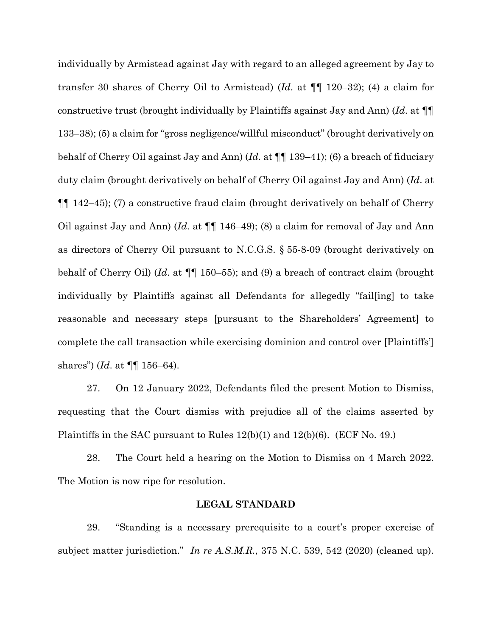individually by Armistead against Jay with regard to an alleged agreement by Jay to transfer 30 shares of Cherry Oil to Armistead) (*Id*. at ¶¶ 120–32); (4) a claim for constructive trust (brought individually by Plaintiffs against Jay and Ann) (*Id*. at ¶¶ 133–38); (5) a claim for "gross negligence/willful misconduct" (brought derivatively on behalf of Cherry Oil against Jay and Ann) (*Id*. at ¶¶ 139–41); (6) a breach of fiduciary duty claim (brought derivatively on behalf of Cherry Oil against Jay and Ann) (*Id*. at ¶¶ 142–45); (7) a constructive fraud claim (brought derivatively on behalf of Cherry Oil against Jay and Ann) (*Id*. at ¶¶ 146–49); (8) a claim for removal of Jay and Ann as directors of Cherry Oil pursuant to N.C.G.S. § 55-8-09 (brought derivatively on behalf of Cherry Oil) (*Id*. at ¶¶ 150–55); and (9) a breach of contract claim (brought individually by Plaintiffs against all Defendants for allegedly "fail[ing] to take reasonable and necessary steps [pursuant to the Shareholders' Agreement] to complete the call transaction while exercising dominion and control over [Plaintiffs'] shares") (*Id*. at ¶¶ 156–64).

27. On 12 January 2022, Defendants filed the present Motion to Dismiss, requesting that the Court dismiss with prejudice all of the claims asserted by Plaintiffs in the SAC pursuant to Rules  $12(b)(1)$  and  $12(b)(6)$ . (ECF No. 49.)

28. The Court held a hearing on the Motion to Dismiss on 4 March 2022. The Motion is now ripe for resolution.

#### **LEGAL STANDARD**

29. "Standing is a necessary prerequisite to a court's proper exercise of subject matter jurisdiction." *In re A.S.M.R.*, 375 N.C. 539, 542 (2020) (cleaned up).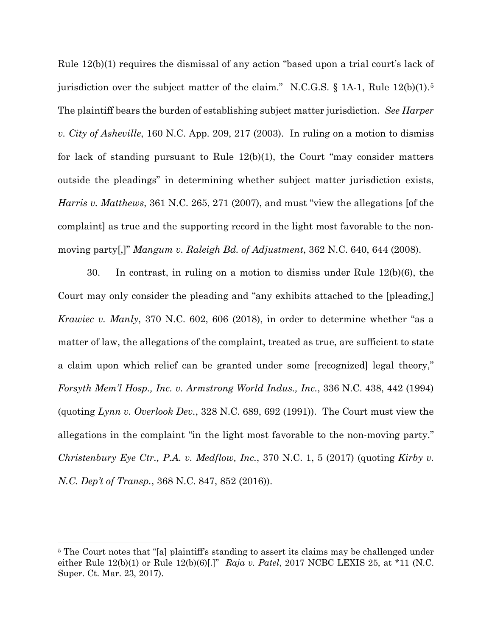Rule 12(b)(1) requires the dismissal of any action "based upon a trial court's lack of jurisdiction over the subject matter of the claim." N.C.G.S. § 1A-1, Rule 12(b)(1).<sup>[5](#page-11-0)</sup> The plaintiff bears the burden of establishing subject matter jurisdiction. *See Harper v. City of Asheville*, 160 N.C. App. 209, 217 (2003). In ruling on a motion to dismiss for lack of standing pursuant to Rule 12(b)(1), the Court "may consider matters outside the pleadings" in determining whether subject matter jurisdiction exists, *Harris v. Matthews*, 361 N.C. 265, 271 (2007), and must "view the allegations [of the complaint] as true and the supporting record in the light most favorable to the nonmoving party[,]" *Mangum v. Raleigh Bd. of Adjustment*, 362 N.C. 640, 644 (2008).

30. In contrast, in ruling on a motion to dismiss under Rule 12(b)(6), the Court may only consider the pleading and "any exhibits attached to the [pleading,] *Krawiec v. Manly*, 370 N.C. 602, 606 (2018), in order to determine whether "as a matter of law, the allegations of the complaint, treated as true, are sufficient to state a claim upon which relief can be granted under some [recognized] legal theory," *Forsyth Mem'l Hosp., Inc. v. Armstrong World Indus., Inc.*, 336 N.C. 438, 442 (1994) (quoting *Lynn v. Overlook Dev.*, 328 N.C. 689, 692 (1991)). The Court must view the allegations in the complaint "in the light most favorable to the non-moving party." *Christenbury Eye Ctr., P.A. v. Medflow, Inc.*, 370 N.C. 1, 5 (2017) (quoting *Kirby v. N.C. Dep't of Transp.*, 368 N.C. 847, 852 (2016)).

<span id="page-11-0"></span><sup>&</sup>lt;sup>5</sup> The Court notes that "[a] plaintiff's standing to assert its claims may be challenged under either Rule 12(b)(1) or Rule 12(b)(6)[.]" *Raja v. Patel*, 2017 NCBC LEXIS 25, at \*11 (N.C. Super. Ct. Mar. 23, 2017).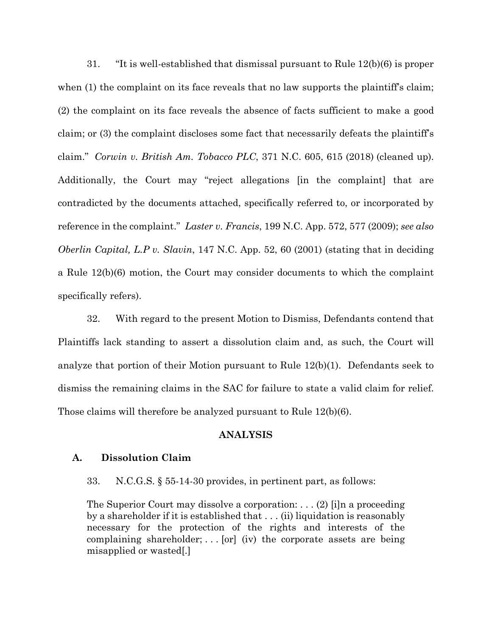31. "It is well-established that dismissal pursuant to Rule 12(b)(6) is proper when (1) the complaint on its face reveals that no law supports the plaintiff's claim; (2) the complaint on its face reveals the absence of facts sufficient to make a good claim; or (3) the complaint discloses some fact that necessarily defeats the plaintiff's claim." *Corwin v. British Am. Tobacco PLC*, 371 N.C. 605, 615 (2018) (cleaned up). Additionally, the Court may "reject allegations [in the complaint] that are contradicted by the documents attached, specifically referred to, or incorporated by reference in the complaint." *Laster v. Francis*, 199 N.C. App. 572, 577 (2009); *see also Oberlin Capital, L.P v. Slavin*, 147 N.C. App. 52, 60 (2001) (stating that in deciding a Rule 12(b)(6) motion, the Court may consider documents to which the complaint specifically refers).

32. With regard to the present Motion to Dismiss, Defendants contend that Plaintiffs lack standing to assert a dissolution claim and, as such, the Court will analyze that portion of their Motion pursuant to Rule 12(b)(1). Defendants seek to dismiss the remaining claims in the SAC for failure to state a valid claim for relief. Those claims will therefore be analyzed pursuant to Rule 12(b)(6).

#### **ANALYSIS**

#### **A. Dissolution Claim**

33. N.C.G.S. § 55-14-30 provides, in pertinent part, as follows:

The Superior Court may dissolve a corporation: . . . (2) [i]n a proceeding by a shareholder if it is established that . . . (ii) liquidation is reasonably necessary for the protection of the rights and interests of the complaining shareholder;  $\ldots$  [or] (iv) the corporate assets are being misapplied or wasted[.]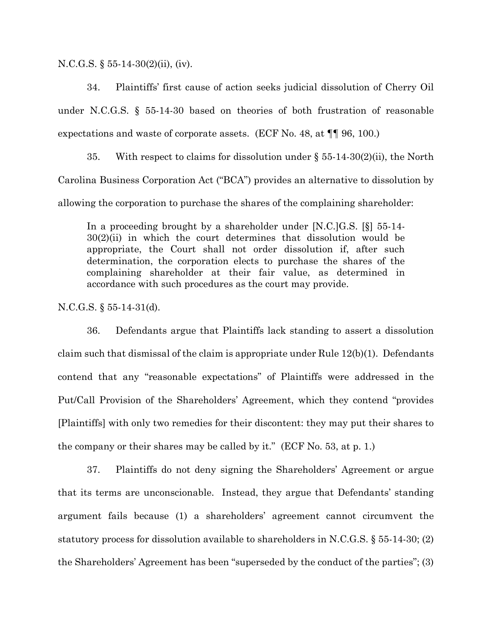N.C.G.S. § 55-14-30(2)(ii), (iv).

34. Plaintiffs' first cause of action seeks judicial dissolution of Cherry Oil under N.C.G.S. § 55-14-30 based on theories of both frustration of reasonable expectations and waste of corporate assets. (ECF No. 48, at ¶¶ 96, 100.)

35. With respect to claims for dissolution under  $\S$  55-14-30(2)(ii), the North Carolina Business Corporation Act ("BCA") provides an alternative to dissolution by allowing the corporation to purchase the shares of the complaining shareholder:

In a proceeding brought by a shareholder under [N.C.]G.S. [§] 55-14-  $30(2)(ii)$  in which the court determines that dissolution would be appropriate, the Court shall not order dissolution if, after such determination, the corporation elects to purchase the shares of the complaining shareholder at their fair value, as determined in accordance with such procedures as the court may provide.

N.C.G.S. § 55-14-31(d).

36. Defendants argue that Plaintiffs lack standing to assert a dissolution claim such that dismissal of the claim is appropriate under Rule 12(b)(1). Defendants contend that any "reasonable expectations" of Plaintiffs were addressed in the Put/Call Provision of the Shareholders' Agreement, which they contend "provides [Plaintiffs] with only two remedies for their discontent: they may put their shares to the company or their shares may be called by it." (ECF No. 53, at p. 1.)

37. Plaintiffs do not deny signing the Shareholders' Agreement or argue that its terms are unconscionable. Instead, they argue that Defendants' standing argument fails because (1) a shareholders' agreement cannot circumvent the statutory process for dissolution available to shareholders in N.C.G.S. § 55-14-30; (2) the Shareholders' Agreement has been "superseded by the conduct of the parties"; (3)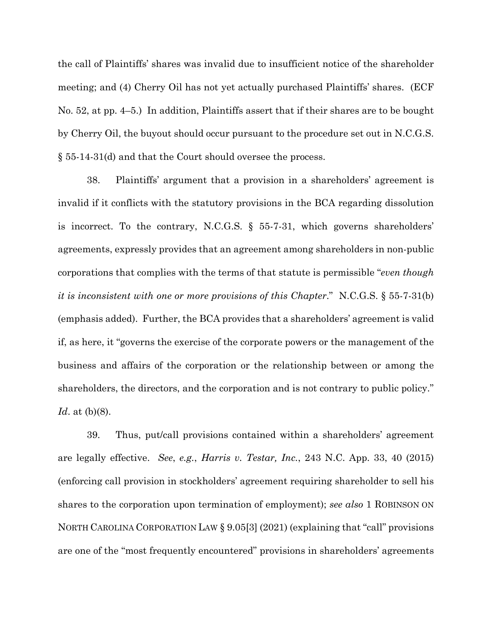the call of Plaintiffs' shares was invalid due to insufficient notice of the shareholder meeting; and (4) Cherry Oil has not yet actually purchased Plaintiffs' shares. (ECF No. 52, at pp. 4–5.) In addition, Plaintiffs assert that if their shares are to be bought by Cherry Oil, the buyout should occur pursuant to the procedure set out in N.C.G.S. § 55-14-31(d) and that the Court should oversee the process.

38. Plaintiffs' argument that a provision in a shareholders' agreement is invalid if it conflicts with the statutory provisions in the BCA regarding dissolution is incorrect. To the contrary, N.C.G.S. § 55-7-31, which governs shareholders' agreements, expressly provides that an agreement among shareholders in non-public corporations that complies with the terms of that statute is permissible "*even though it is inconsistent with one or more provisions of this Chapter*." N.C.G.S. § 55-7-31(b) (emphasis added). Further, the BCA provides that a shareholders' agreement is valid if, as here, it "governs the exercise of the corporate powers or the management of the business and affairs of the corporation or the relationship between or among the shareholders, the directors, and the corporation and is not contrary to public policy." *Id*. at (b)(8).

39. Thus, put/call provisions contained within a shareholders' agreement are legally effective. *See*, *e.g.*, *Harris v. Testar, Inc.*, 243 N.C. App. 33, 40 (2015) (enforcing call provision in stockholders' agreement requiring shareholder to sell his shares to the corporation upon termination of employment); *see also* 1 ROBINSON ON NORTH CAROLINA CORPORATION LAW § 9.05[3] (2021) (explaining that "call" provisions are one of the "most frequently encountered" provisions in shareholders' agreements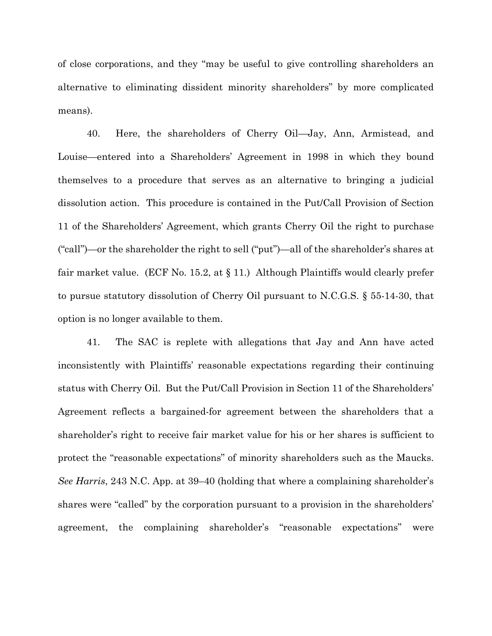of close corporations, and they "may be useful to give controlling shareholders an alternative to eliminating dissident minority shareholders" by more complicated means).

40. Here, the shareholders of Cherry Oil—Jay, Ann, Armistead, and Louise—entered into a Shareholders' Agreement in 1998 in which they bound themselves to a procedure that serves as an alternative to bringing a judicial dissolution action. This procedure is contained in the Put/Call Provision of Section 11 of the Shareholders' Agreement, which grants Cherry Oil the right to purchase ("call")—or the shareholder the right to sell ("put")—all of the shareholder's shares at fair market value. (ECF No. 15.2, at § 11.) Although Plaintiffs would clearly prefer to pursue statutory dissolution of Cherry Oil pursuant to N.C.G.S. § 55-14-30, that option is no longer available to them.

41. The SAC is replete with allegations that Jay and Ann have acted inconsistently with Plaintiffs' reasonable expectations regarding their continuing status with Cherry Oil. But the Put/Call Provision in Section 11 of the Shareholders' Agreement reflects a bargained-for agreement between the shareholders that a shareholder's right to receive fair market value for his or her shares is sufficient to protect the "reasonable expectations" of minority shareholders such as the Maucks. *See Harris*, 243 N.C. App. at 39–40 (holding that where a complaining shareholder's shares were "called" by the corporation pursuant to a provision in the shareholders' agreement, the complaining shareholder's "reasonable expectations" were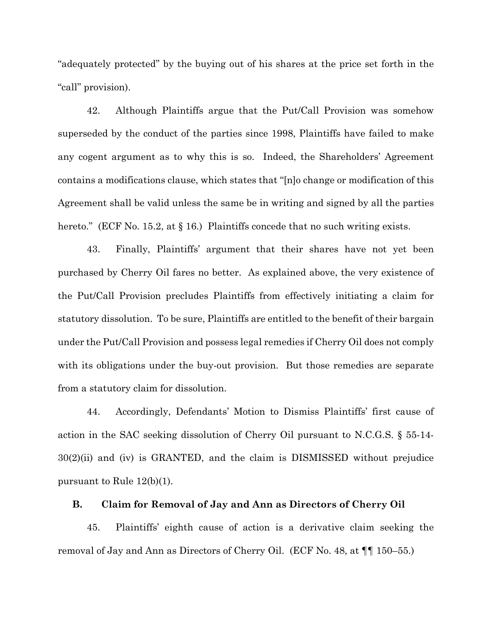"adequately protected" by the buying out of his shares at the price set forth in the "call" provision).

42. Although Plaintiffs argue that the Put/Call Provision was somehow superseded by the conduct of the parties since 1998, Plaintiffs have failed to make any cogent argument as to why this is so. Indeed, the Shareholders' Agreement contains a modifications clause, which states that "[n]o change or modification of this Agreement shall be valid unless the same be in writing and signed by all the parties hereto." (ECF No. 15.2, at § 16.) Plaintiffs concede that no such writing exists.

43. Finally, Plaintiffs' argument that their shares have not yet been purchased by Cherry Oil fares no better. As explained above, the very existence of the Put/Call Provision precludes Plaintiffs from effectively initiating a claim for statutory dissolution. To be sure, Plaintiffs are entitled to the benefit of their bargain under the Put/Call Provision and possess legal remedies if Cherry Oil does not comply with its obligations under the buy-out provision. But those remedies are separate from a statutory claim for dissolution.

44. Accordingly, Defendants' Motion to Dismiss Plaintiffs' first cause of action in the SAC seeking dissolution of Cherry Oil pursuant to N.C.G.S. § 55-14- 30(2)(ii) and (iv) is GRANTED, and the claim is DISMISSED without prejudice pursuant to Rule 12(b)(1).

### **B. Claim for Removal of Jay and Ann as Directors of Cherry Oil**

45. Plaintiffs' eighth cause of action is a derivative claim seeking the removal of Jay and Ann as Directors of Cherry Oil. (ECF No. 48, at ¶¶ 150–55.)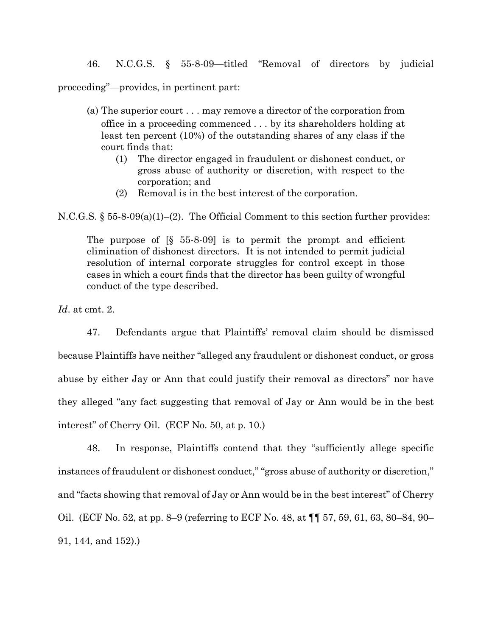46. N.C.G.S. § 55-8-09—titled "Removal of directors by judicial

proceeding"—provides, in pertinent part:

- (a) The superior court . . . may remove a director of the corporation from office in a proceeding commenced . . . by its shareholders holding at least ten percent (10%) of the outstanding shares of any class if the court finds that:
	- (1) The director engaged in fraudulent or dishonest conduct, or gross abuse of authority or discretion, with respect to the corporation; and
	- (2) Removal is in the best interest of the corporation.

N.C.G.S. § 55-8-09(a)(1)–(2). The Official Comment to this section further provides:

The purpose of [§ 55-8-09] is to permit the prompt and efficient elimination of dishonest directors. It is not intended to permit judicial resolution of internal corporate struggles for control except in those cases in which a court finds that the director has been guilty of wrongful conduct of the type described.

*Id*. at cmt. 2.

47. Defendants argue that Plaintiffs' removal claim should be dismissed because Plaintiffs have neither "alleged any fraudulent or dishonest conduct, or gross abuse by either Jay or Ann that could justify their removal as directors" nor have they alleged "any fact suggesting that removal of Jay or Ann would be in the best interest" of Cherry Oil. (ECF No. 50, at p. 10.)

48. In response, Plaintiffs contend that they "sufficiently allege specific instances of fraudulent or dishonest conduct," "gross abuse of authority or discretion," and "facts showing that removal of Jay or Ann would be in the best interest" of Cherry Oil. (ECF No. 52, at pp. 8–9 (referring to ECF No. 48, at ¶¶ 57, 59, 61, 63, 80–84, 90– 91, 144, and 152).)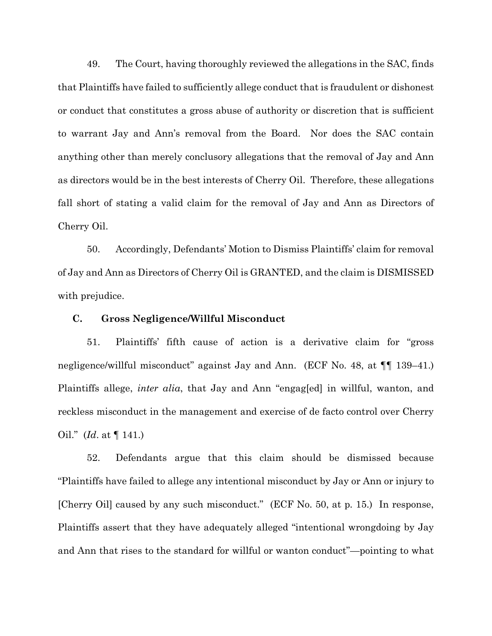49. The Court, having thoroughly reviewed the allegations in the SAC, finds that Plaintiffs have failed to sufficiently allege conduct that is fraudulent or dishonest or conduct that constitutes a gross abuse of authority or discretion that is sufficient to warrant Jay and Ann's removal from the Board. Nor does the SAC contain anything other than merely conclusory allegations that the removal of Jay and Ann as directors would be in the best interests of Cherry Oil. Therefore, these allegations fall short of stating a valid claim for the removal of Jay and Ann as Directors of Cherry Oil.

50. Accordingly, Defendants' Motion to Dismiss Plaintiffs' claim for removal of Jay and Ann as Directors of Cherry Oil is GRANTED, and the claim is DISMISSED with prejudice.

#### **C. Gross Negligence/Willful Misconduct**

51. Plaintiffs' fifth cause of action is a derivative claim for "gross negligence/willful misconduct" against Jay and Ann. (ECF No. 48, at ¶¶ 139–41.) Plaintiffs allege, *inter alia*, that Jay and Ann "engag[ed] in willful, wanton, and reckless misconduct in the management and exercise of de facto control over Cherry Oil." (*Id*. at ¶ 141.)

52. Defendants argue that this claim should be dismissed because "Plaintiffs have failed to allege any intentional misconduct by Jay or Ann or injury to [Cherry Oil] caused by any such misconduct." (ECF No. 50, at p. 15.) In response, Plaintiffs assert that they have adequately alleged "intentional wrongdoing by Jay and Ann that rises to the standard for willful or wanton conduct"—pointing to what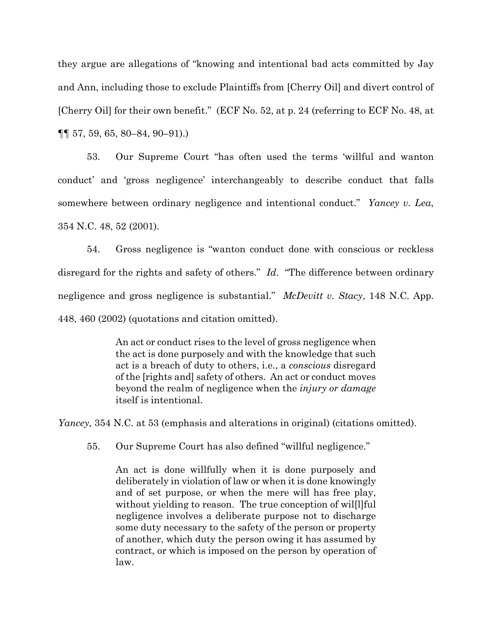they argue are allegations of "knowing and intentional bad acts committed by Jay and Ann, including those to exclude Plaintiffs from [Cherry Oil] and divert control of [Cherry Oil] for their own benefit." (ECF No. 52, at p. 24 (referring to ECF No. 48, at ¶¶ 57, 59, 65, 80–84, 90–91).)

53. Our Supreme Court "has often used the terms 'willful and wanton conduct' and 'gross negligence' interchangeably to describe conduct that falls somewhere between ordinary negligence and intentional conduct." *Yancey v. Lea*, 354 N.C. 48, 52 (2001).

54. Gross negligence is "wanton conduct done with conscious or reckless disregard for the rights and safety of others." *Id*. "The difference between ordinary negligence and gross negligence is substantial." *McDevitt v. Stacy*, 148 N.C. App. 448, 460 (2002) (quotations and citation omitted).

> An act or conduct rises to the level of gross negligence when the act is done purposely and with the knowledge that such act is a breach of duty to others, i.e., a *conscious* disregard of the [rights and] safety of others. An act or conduct moves beyond the realm of negligence when the *injury or damage*  itself is intentional.

*Yancey*, 354 N.C. at 53 (emphasis and alterations in original) (citations omitted).

55. Our Supreme Court has also defined "willful negligence."

An act is done willfully when it is done purposely and deliberately in violation of law or when it is done knowingly and of set purpose, or when the mere will has free play, without yielding to reason. The true conception of wil[l]ful negligence involves a deliberate purpose not to discharge some duty necessary to the safety of the person or property of another, which duty the person owing it has assumed by contract, or which is imposed on the person by operation of law.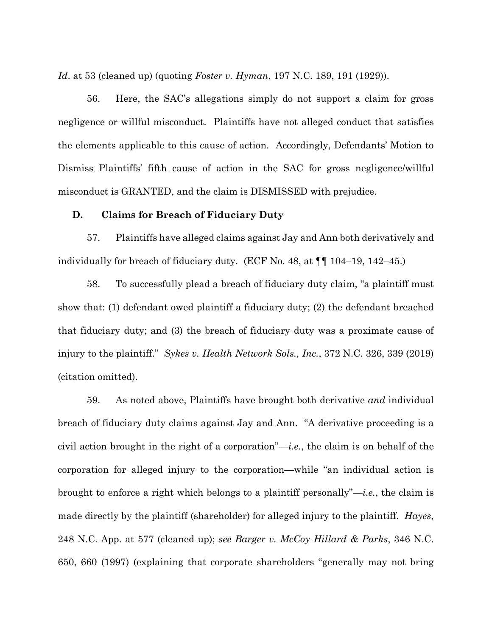*Id*. at 53 (cleaned up) (quoting *Foster v. Hyman*, 197 N.C. 189, 191 (1929)).

56. Here, the SAC's allegations simply do not support a claim for gross negligence or willful misconduct. Plaintiffs have not alleged conduct that satisfies the elements applicable to this cause of action. Accordingly, Defendants' Motion to Dismiss Plaintiffs' fifth cause of action in the SAC for gross negligence/willful misconduct is GRANTED, and the claim is DISMISSED with prejudice.

#### **D. Claims for Breach of Fiduciary Duty**

57. Plaintiffs have alleged claims against Jay and Ann both derivatively and individually for breach of fiduciary duty. (ECF No. 48, at ¶¶ 104–19, 142–45.)

58. To successfully plead a breach of fiduciary duty claim, "a plaintiff must show that: (1) defendant owed plaintiff a fiduciary duty; (2) the defendant breached that fiduciary duty; and (3) the breach of fiduciary duty was a proximate cause of injury to the plaintiff." *Sykes v. Health Network Sols., Inc.*, 372 N.C. 326, 339 (2019) (citation omitted).

59. As noted above, Plaintiffs have brought both derivative *and* individual breach of fiduciary duty claims against Jay and Ann. "A derivative proceeding is a civil action brought in the right of a corporation"—*i.e.*, the claim is on behalf of the corporation for alleged injury to the corporation—while "an individual action is brought to enforce a right which belongs to a plaintiff personally"—*i.e.*, the claim is made directly by the plaintiff (shareholder) for alleged injury to the plaintiff. *Hayes*, 248 N.C. App. at 577 (cleaned up); *see Barger v. McCoy Hillard & Parks*, 346 N.C. 650, 660 (1997) (explaining that corporate shareholders "generally may not bring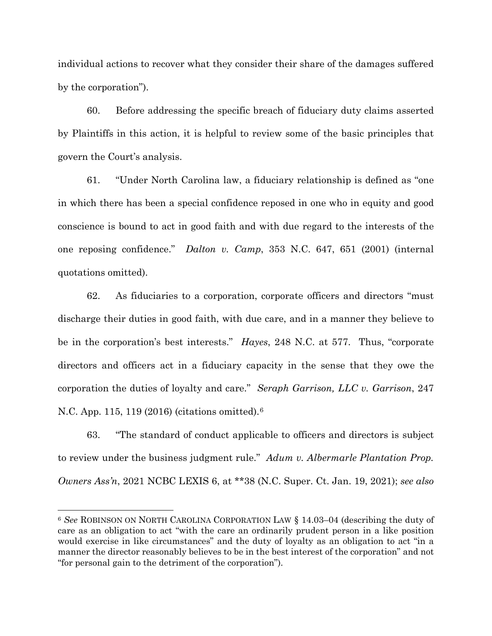individual actions to recover what they consider their share of the damages suffered by the corporation").

60. Before addressing the specific breach of fiduciary duty claims asserted by Plaintiffs in this action, it is helpful to review some of the basic principles that govern the Court's analysis.

61. "Under North Carolina law, a fiduciary relationship is defined as "one in which there has been a special confidence reposed in one who in equity and good conscience is bound to act in good faith and with due regard to the interests of the one reposing confidence." *Dalton v. Camp*, 353 N.C. 647, 651 (2001) (internal quotations omitted).

62. As fiduciaries to a corporation, corporate officers and directors "must discharge their duties in good faith, with due care, and in a manner they believe to be in the corporation's best interests." *Hayes*, 248 N.C. at 577. Thus, "corporate directors and officers act in a fiduciary capacity in the sense that they owe the corporation the duties of loyalty and care." *Seraph Garrison, LLC v. Garrison*, 247 N.C. App. 115, 119 (2016) (citations omitted).[6](#page-21-0) 

63. "The standard of conduct applicable to officers and directors is subject to review under the business judgment rule." *Adum v. Albermarle Plantation Prop. Owners Ass'n*, 2021 NCBC LEXIS 6, at \*\*38 (N.C. Super. Ct. Jan. 19, 2021); *see also*

<span id="page-21-0"></span><sup>6</sup> *See* ROBINSON ON NORTH CAROLINA CORPORATION LAW § 14.03–04 (describing the duty of care as an obligation to act "with the care an ordinarily prudent person in a like position would exercise in like circumstances" and the duty of loyalty as an obligation to act "in a manner the director reasonably believes to be in the best interest of the corporation" and not "for personal gain to the detriment of the corporation").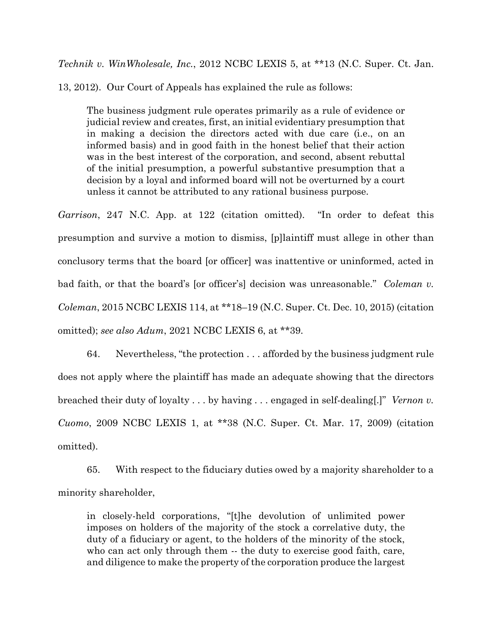*Technik v. WinWholesale, Inc.*, 2012 NCBC LEXIS 5, at \*\*13 (N.C. Super. Ct. Jan.

13, 2012). Our Court of Appeals has explained the rule as follows:

The business judgment rule operates primarily as a rule of evidence or judicial review and creates, first, an initial evidentiary presumption that in making a decision the directors acted with due care (i.e., on an informed basis) and in good faith in the honest belief that their action was in the best interest of the corporation, and second, absent rebuttal of the initial presumption, a powerful substantive presumption that a decision by a loyal and informed board will not be overturned by a court unless it cannot be attributed to any rational business purpose.

*Garrison*, 247 N.C. App. at 122 (citation omitted). "In order to defeat this presumption and survive a motion to dismiss, [p]laintiff must allege in other than conclusory terms that the board [or officer] was inattentive or uninformed, acted in bad faith, or that the board's [or officer's] decision was unreasonable." *Coleman v. Coleman*, 2015 NCBC LEXIS 114, at \*\*18–19 (N.C. Super. Ct. Dec. 10, 2015) (citation omitted); *see also Adum*, 2021 NCBC LEXIS 6, at \*\*39.

64. Nevertheless, "the protection . . . afforded by the business judgment rule does not apply where the plaintiff has made an adequate showing that the directors breached their duty of loyalty . . . by having . . . engaged in self-dealing[.]" *Vernon v. Cuomo*, 2009 NCBC LEXIS 1, at \*\*38 (N.C. Super. Ct. Mar. 17, 2009) (citation omitted).

65. With respect to the fiduciary duties owed by a majority shareholder to a minority shareholder,

in closely-held corporations, "[t]he devolution of unlimited power imposes on holders of the majority of the stock a correlative duty, the duty of a fiduciary or agent, to the holders of the minority of the stock, who can act only through them -- the duty to exercise good faith, care, and diligence to make the property of the corporation produce the largest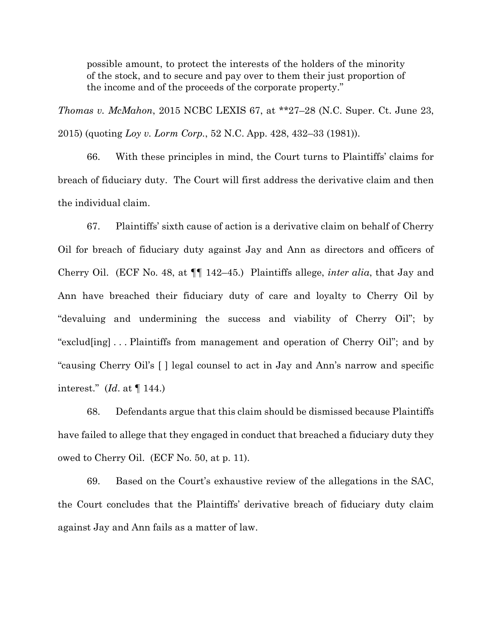possible amount, to protect the interests of the holders of the minority of the stock, and to secure and pay over to them their just proportion of the income and of the proceeds of the corporate property."

*Thomas v. McMahon*, 2015 NCBC LEXIS 67, at \*\*27–28 (N.C. Super. Ct. June 23, 2015) (quoting *Loy v. Lorm Corp.*, 52 N.C. App. 428, 432–33 (1981)).

66. With these principles in mind, the Court turns to Plaintiffs' claims for breach of fiduciary duty. The Court will first address the derivative claim and then the individual claim.

67. Plaintiffs' sixth cause of action is a derivative claim on behalf of Cherry Oil for breach of fiduciary duty against Jay and Ann as directors and officers of Cherry Oil. (ECF No. 48, at ¶¶ 142–45.) Plaintiffs allege, *inter alia*, that Jay and Ann have breached their fiduciary duty of care and loyalty to Cherry Oil by "devaluing and undermining the success and viability of Cherry Oil"; by "exclud[ing] . . . Plaintiffs from management and operation of Cherry Oil"; and by "causing Cherry Oil's [ ] legal counsel to act in Jay and Ann's narrow and specific interest." (*Id*. at ¶ 144.)

68. Defendants argue that this claim should be dismissed because Plaintiffs have failed to allege that they engaged in conduct that breached a fiduciary duty they owed to Cherry Oil. (ECF No. 50, at p. 11).

69. Based on the Court's exhaustive review of the allegations in the SAC, the Court concludes that the Plaintiffs' derivative breach of fiduciary duty claim against Jay and Ann fails as a matter of law.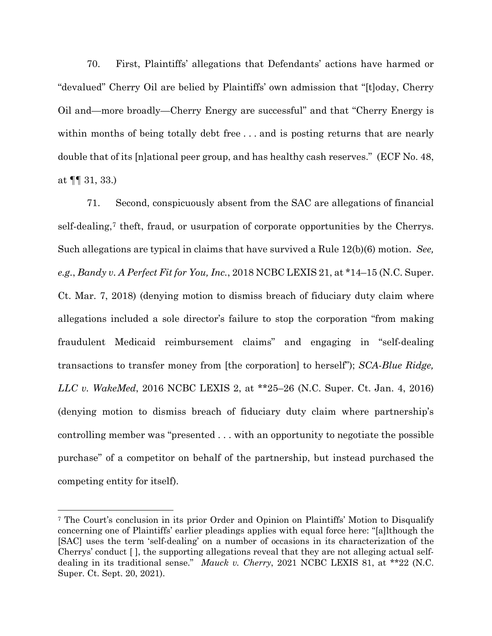70. First, Plaintiffs' allegations that Defendants' actions have harmed or "devalued" Cherry Oil are belied by Plaintiffs' own admission that "[t]oday, Cherry Oil and—more broadly—Cherry Energy are successful" and that "Cherry Energy is within months of being totally debt free . . . and is posting returns that are nearly double that of its [n]ational peer group, and has healthy cash reserves." (ECF No. 48, at  $\P\P$  31, 33.)

71. Second, conspicuously absent from the SAC are allegations of financial self-dealing,[7](#page-24-0) theft, fraud, or usurpation of corporate opportunities by the Cherrys. Such allegations are typical in claims that have survived a Rule 12(b)(6) motion. *See, e.g.*, *Bandy v. A Perfect Fit for You, Inc.*, 2018 NCBC LEXIS 21, at \*14–15 (N.C. Super. Ct. Mar. 7, 2018) (denying motion to dismiss breach of fiduciary duty claim where allegations included a sole director's failure to stop the corporation "from making fraudulent Medicaid reimbursement claims" and engaging in "self-dealing transactions to transfer money from [the corporation] to herself"); *SCA-Blue Ridge, LLC v. WakeMed*, 2016 NCBC LEXIS 2, at \*\*25–26 (N.C. Super. Ct. Jan. 4, 2016) (denying motion to dismiss breach of fiduciary duty claim where partnership's controlling member was "presented . . . with an opportunity to negotiate the possible purchase" of a competitor on behalf of the partnership, but instead purchased the competing entity for itself).

<span id="page-24-0"></span><sup>7</sup> The Court's conclusion in its prior Order and Opinion on Plaintiffs' Motion to Disqualify concerning one of Plaintiffs' earlier pleadings applies with equal force here: "[a]lthough the [SAC] uses the term 'self-dealing' on a number of occasions in its characterization of the Cherrys' conduct [ ], the supporting allegations reveal that they are not alleging actual selfdealing in its traditional sense." *Mauck v. Cherry*, 2021 NCBC LEXIS 81, at \*\*22 (N.C. Super. Ct. Sept. 20, 2021).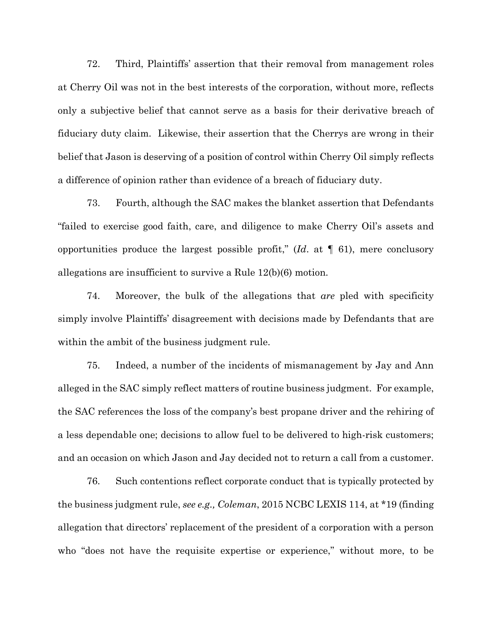72. Third, Plaintiffs' assertion that their removal from management roles at Cherry Oil was not in the best interests of the corporation, without more, reflects only a subjective belief that cannot serve as a basis for their derivative breach of fiduciary duty claim. Likewise, their assertion that the Cherrys are wrong in their belief that Jason is deserving of a position of control within Cherry Oil simply reflects a difference of opinion rather than evidence of a breach of fiduciary duty.

73. Fourth, although the SAC makes the blanket assertion that Defendants "failed to exercise good faith, care, and diligence to make Cherry Oil's assets and opportunities produce the largest possible profit," (*Id*. at ¶ 61), mere conclusory allegations are insufficient to survive a Rule 12(b)(6) motion.

74. Moreover, the bulk of the allegations that *are* pled with specificity simply involve Plaintiffs' disagreement with decisions made by Defendants that are within the ambit of the business judgment rule.

75. Indeed, a number of the incidents of mismanagement by Jay and Ann alleged in the SAC simply reflect matters of routine business judgment. For example, the SAC references the loss of the company's best propane driver and the rehiring of a less dependable one; decisions to allow fuel to be delivered to high-risk customers; and an occasion on which Jason and Jay decided not to return a call from a customer.

76. Such contentions reflect corporate conduct that is typically protected by the business judgment rule, *see e.g., Coleman*, 2015 NCBC LEXIS 114, at \*19 (finding allegation that directors' replacement of the president of a corporation with a person who "does not have the requisite expertise or experience," without more, to be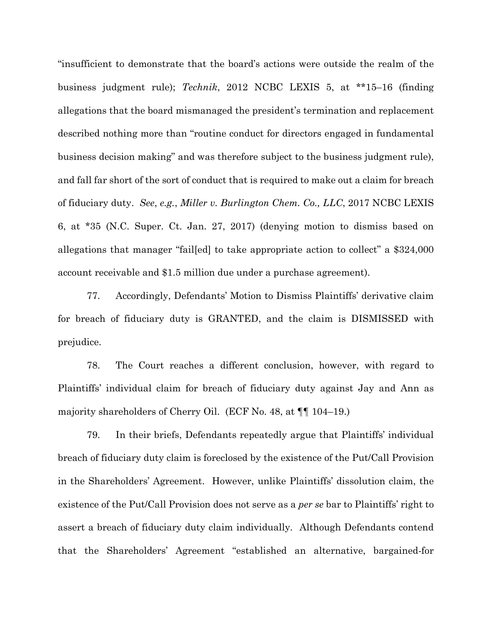"insufficient to demonstrate that the board's actions were outside the realm of the business judgment rule); *Technik*, 2012 NCBC LEXIS 5, at \*\*15–16 (finding allegations that the board mismanaged the president's termination and replacement described nothing more than "routine conduct for directors engaged in fundamental business decision making" and was therefore subject to the business judgment rule), and fall far short of the sort of conduct that is required to make out a claim for breach of fiduciary duty. *See*, *e.g.*, *Miller v. Burlington Chem. Co., LLC*, 2017 NCBC LEXIS 6, at \*35 (N.C. Super. Ct. Jan. 27, 2017) (denying motion to dismiss based on allegations that manager "fail[ed] to take appropriate action to collect" a \$324,000 account receivable and \$1.5 million due under a purchase agreement).

77. Accordingly, Defendants' Motion to Dismiss Plaintiffs' derivative claim for breach of fiduciary duty is GRANTED, and the claim is DISMISSED with prejudice.

78. The Court reaches a different conclusion, however, with regard to Plaintiffs' individual claim for breach of fiduciary duty against Jay and Ann as majority shareholders of Cherry Oil. (ECF No. 48, at ¶¶ 104–19.)

79. In their briefs, Defendants repeatedly argue that Plaintiffs' individual breach of fiduciary duty claim is foreclosed by the existence of the Put/Call Provision in the Shareholders' Agreement. However, unlike Plaintiffs' dissolution claim, the existence of the Put/Call Provision does not serve as a *per se* bar to Plaintiffs' right to assert a breach of fiduciary duty claim individually. Although Defendants contend that the Shareholders' Agreement "established an alternative, bargained-for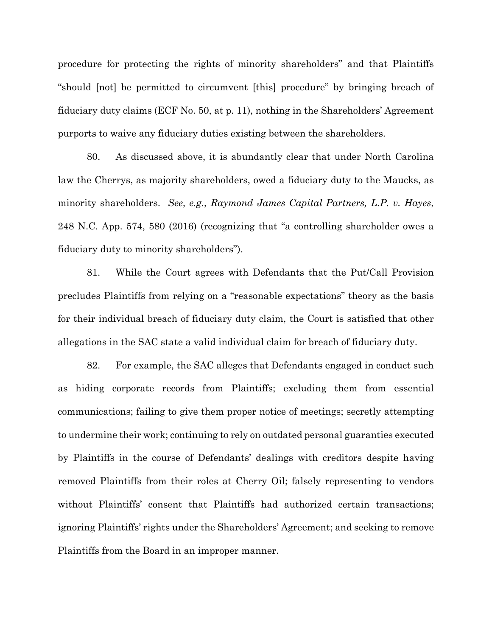procedure for protecting the rights of minority shareholders" and that Plaintiffs "should [not] be permitted to circumvent [this] procedure" by bringing breach of fiduciary duty claims (ECF No. 50, at p. 11), nothing in the Shareholders' Agreement purports to waive any fiduciary duties existing between the shareholders.

80. As discussed above, it is abundantly clear that under North Carolina law the Cherrys, as majority shareholders, owed a fiduciary duty to the Maucks, as minority shareholders. *See*, *e.g.*, *Raymond James Capital Partners, L.P. v. Hayes*, 248 N.C. App. 574, 580 (2016) (recognizing that "a controlling shareholder owes a fiduciary duty to minority shareholders").

81. While the Court agrees with Defendants that the Put/Call Provision precludes Plaintiffs from relying on a "reasonable expectations" theory as the basis for their individual breach of fiduciary duty claim, the Court is satisfied that other allegations in the SAC state a valid individual claim for breach of fiduciary duty.

82. For example, the SAC alleges that Defendants engaged in conduct such as hiding corporate records from Plaintiffs; excluding them from essential communications; failing to give them proper notice of meetings; secretly attempting to undermine their work; continuing to rely on outdated personal guaranties executed by Plaintiffs in the course of Defendants' dealings with creditors despite having removed Plaintiffs from their roles at Cherry Oil; falsely representing to vendors without Plaintiffs' consent that Plaintiffs had authorized certain transactions; ignoring Plaintiffs' rights under the Shareholders' Agreement; and seeking to remove Plaintiffs from the Board in an improper manner.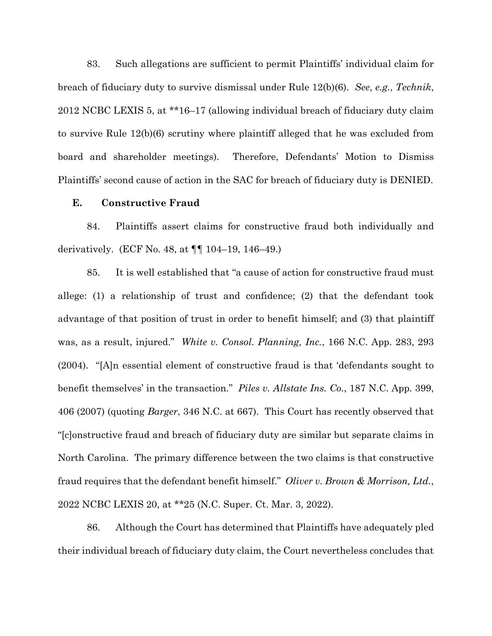83. Such allegations are sufficient to permit Plaintiffs' individual claim for breach of fiduciary duty to survive dismissal under Rule 12(b)(6). *See*, *e.g.*, *Technik*, 2012 NCBC LEXIS 5, at \*\*16–17 (allowing individual breach of fiduciary duty claim to survive Rule 12(b)(6) scrutiny where plaintiff alleged that he was excluded from board and shareholder meetings). Therefore, Defendants' Motion to Dismiss Plaintiffs' second cause of action in the SAC for breach of fiduciary duty is DENIED.

#### **E. Constructive Fraud**

84. Plaintiffs assert claims for constructive fraud both individually and derivatively. (ECF No. 48, at ¶¶ 104–19, 146–49.)

85. It is well established that "a cause of action for constructive fraud must allege: (1) a relationship of trust and confidence; (2) that the defendant took advantage of that position of trust in order to benefit himself; and (3) that plaintiff was, as a result, injured." *White v. Consol. Planning, Inc.*, 166 N.C. App. 283, 293 (2004). "[A]n essential element of constructive fraud is that 'defendants sought to benefit themselves' in the transaction." *Piles v. Allstate Ins. Co.*, 187 N.C. App. 399, 406 (2007) (quoting *Barger*, 346 N.C. at 667). This Court has recently observed that "[c]onstructive fraud and breach of fiduciary duty are similar but separate claims in North Carolina. The primary difference between the two claims is that constructive fraud requires that the defendant benefit himself." *Oliver v. Brown & Morrison, Ltd.*, 2022 NCBC LEXIS 20, at \*\*25 (N.C. Super. Ct. Mar. 3, 2022).

86. Although the Court has determined that Plaintiffs have adequately pled their individual breach of fiduciary duty claim, the Court nevertheless concludes that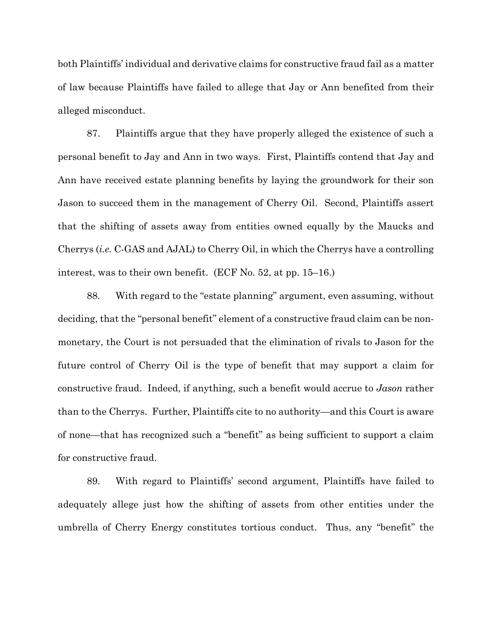both Plaintiffs' individual and derivative claims for constructive fraud fail as a matter of law because Plaintiffs have failed to allege that Jay or Ann benefited from their alleged misconduct.

87. Plaintiffs argue that they have properly alleged the existence of such a personal benefit to Jay and Ann in two ways. First, Plaintiffs contend that Jay and Ann have received estate planning benefits by laying the groundwork for their son Jason to succeed them in the management of Cherry Oil. Second, Plaintiffs assert that the shifting of assets away from entities owned equally by the Maucks and Cherrys (*i.e.* C-GAS and AJAL) to Cherry Oil, in which the Cherrys have a controlling interest, was to their own benefit. (ECF No. 52, at pp. 15–16.)

88. With regard to the "estate planning" argument, even assuming, without deciding, that the "personal benefit" element of a constructive fraud claim can be nonmonetary, the Court is not persuaded that the elimination of rivals to Jason for the future control of Cherry Oil is the type of benefit that may support a claim for constructive fraud. Indeed, if anything, such a benefit would accrue to *Jason* rather than to the Cherrys. Further, Plaintiffs cite to no authority—and this Court is aware of none—that has recognized such a "benefit" as being sufficient to support a claim for constructive fraud.

89. With regard to Plaintiffs' second argument, Plaintiffs have failed to adequately allege just how the shifting of assets from other entities under the umbrella of Cherry Energy constitutes tortious conduct. Thus, any "benefit" the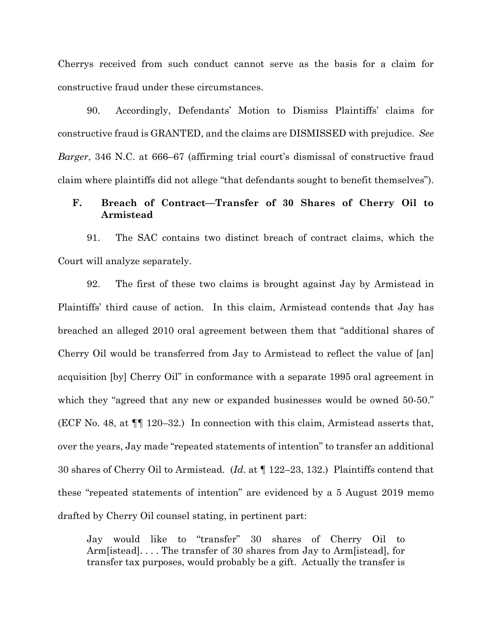Cherrys received from such conduct cannot serve as the basis for a claim for constructive fraud under these circumstances.

90. Accordingly, Defendants' Motion to Dismiss Plaintiffs' claims for constructive fraud is GRANTED, and the claims are DISMISSED with prejudice. *See Barger*, 346 N.C. at 666–67 (affirming trial court's dismissal of constructive fraud claim where plaintiffs did not allege "that defendants sought to benefit themselves").

# **F. Breach of Contract—Transfer of 30 Shares of Cherry Oil to Armistead**

91. The SAC contains two distinct breach of contract claims, which the Court will analyze separately.

92. The first of these two claims is brought against Jay by Armistead in Plaintiffs' third cause of action. In this claim, Armistead contends that Jay has breached an alleged 2010 oral agreement between them that "additional shares of Cherry Oil would be transferred from Jay to Armistead to reflect the value of [an] acquisition [by] Cherry Oil" in conformance with a separate 1995 oral agreement in which they "agreed that any new or expanded businesses would be owned 50-50." (ECF No. 48, at ¶¶ 120–32.) In connection with this claim, Armistead asserts that, over the years, Jay made "repeated statements of intention" to transfer an additional 30 shares of Cherry Oil to Armistead. (*Id*. at ¶ 122–23, 132.) Plaintiffs contend that these "repeated statements of intention" are evidenced by a 5 August 2019 memo drafted by Cherry Oil counsel stating, in pertinent part:

Jay would like to "transfer" 30 shares of Cherry Oil to Arm[istead]. . . . The transfer of 30 shares from Jay to Arm[istead], for transfer tax purposes, would probably be a gift. Actually the transfer is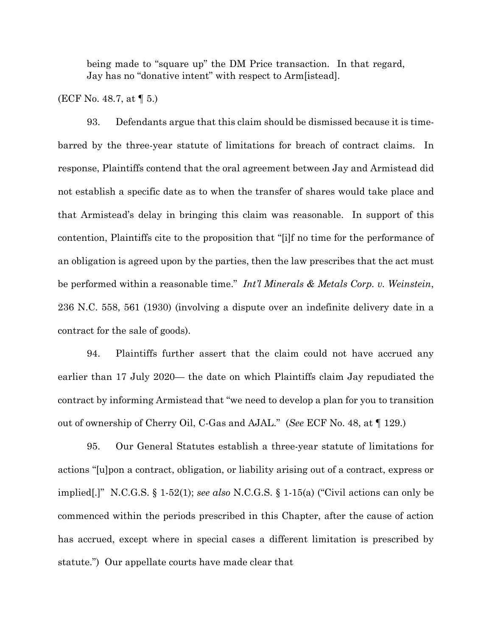being made to "square up" the DM Price transaction. In that regard, Jay has no "donative intent" with respect to Arm[istead].

(ECF No. 48.7, at ¶ 5.)

93. Defendants argue that this claim should be dismissed because it is timebarred by the three-year statute of limitations for breach of contract claims. In response, Plaintiffs contend that the oral agreement between Jay and Armistead did not establish a specific date as to when the transfer of shares would take place and that Armistead's delay in bringing this claim was reasonable. In support of this contention, Plaintiffs cite to the proposition that "[i]f no time for the performance of an obligation is agreed upon by the parties, then the law prescribes that the act must be performed within a reasonable time." *Int'l Minerals & Metals Corp. v. Weinstein*, 236 N.C. 558, 561 (1930) (involving a dispute over an indefinite delivery date in a contract for the sale of goods).

94. Plaintiffs further assert that the claim could not have accrued any earlier than 17 July 2020— the date on which Plaintiffs claim Jay repudiated the contract by informing Armistead that "we need to develop a plan for you to transition out of ownership of Cherry Oil, C-Gas and AJAL." (*See* ECF No. 48, at ¶ 129.)

95. Our General Statutes establish a three-year statute of limitations for actions "[u]pon a contract, obligation, or liability arising out of a contract, express or implied[.]" N.C.G.S. § 1-52(1); *see also* N.C.G.S. § 1-15(a) ("Civil actions can only be commenced within the periods prescribed in this Chapter, after the cause of action has accrued, except where in special cases a different limitation is prescribed by statute.") Our appellate courts have made clear that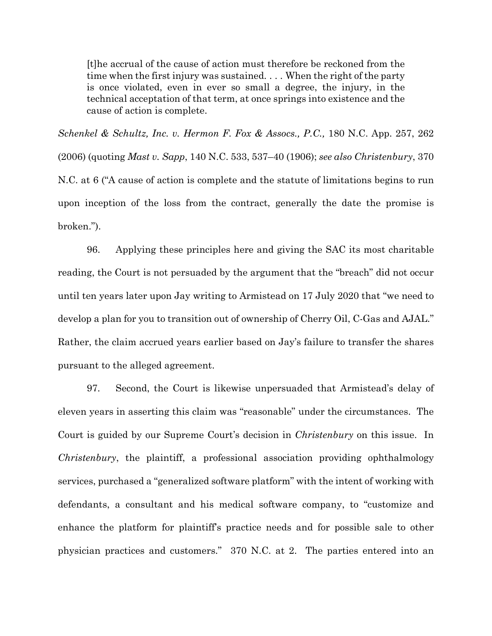[t]he accrual of the cause of action must therefore be reckoned from the time when the first injury was sustained. . . . When the right of the party is once violated, even in ever so small a degree, the injury, in the technical acceptation of that term, at once springs into existence and the cause of action is complete.

*Schenkel & Schultz, Inc. v. Hermon F. Fox & Assocs., P.C.,* 180 N.C. App. 257, 262 (2006) (quoting *Mast v. Sapp*, 140 N.C. 533, 537–40 (1906); *see also Christenbury*, 370 N.C. at 6 ("A cause of action is complete and the statute of limitations begins to run upon inception of the loss from the contract, generally the date the promise is broken.").

96. Applying these principles here and giving the SAC its most charitable reading, the Court is not persuaded by the argument that the "breach" did not occur until ten years later upon Jay writing to Armistead on 17 July 2020 that "we need to develop a plan for you to transition out of ownership of Cherry Oil, C-Gas and AJAL." Rather, the claim accrued years earlier based on Jay's failure to transfer the shares pursuant to the alleged agreement.

97. Second, the Court is likewise unpersuaded that Armistead's delay of eleven years in asserting this claim was "reasonable" under the circumstances. The Court is guided by our Supreme Court's decision in *Christenbury* on this issue. In *Christenbury*, the plaintiff, a professional association providing ophthalmology services, purchased a "generalized software platform" with the intent of working with defendants, a consultant and his medical software company, to "customize and enhance the platform for plaintiff's practice needs and for possible sale to other physician practices and customers." 370 N.C. at 2. The parties entered into an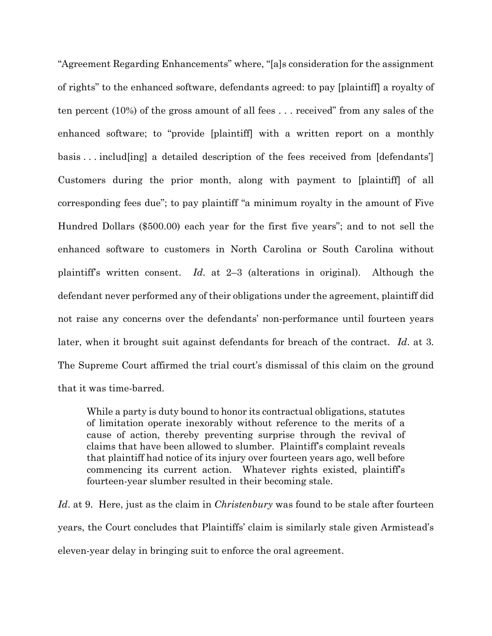"Agreement Regarding Enhancements" where, "[a]s consideration for the assignment of rights" to the enhanced software, defendants agreed: to pay [plaintiff] a royalty of ten percent (10%) of the gross amount of all fees . . . received" from any sales of the enhanced software; to "provide [plaintiff] with a written report on a monthly basis . . . includ[ing] a detailed description of the fees received from [defendants'] Customers during the prior month, along with payment to [plaintiff] of all corresponding fees due"; to pay plaintiff "a minimum royalty in the amount of Five Hundred Dollars (\$500.00) each year for the first five years"; and to not sell the enhanced software to customers in North Carolina or South Carolina without plaintiff's written consent. *Id*. at 2–3 (alterations in original). Although the defendant never performed any of their obligations under the agreement, plaintiff did not raise any concerns over the defendants' non-performance until fourteen years later, when it brought suit against defendants for breach of the contract. *Id*. at 3. The Supreme Court affirmed the trial court's dismissal of this claim on the ground that it was time-barred.

While a party is duty bound to honor its contractual obligations, statutes of limitation operate inexorably without reference to the merits of a cause of action, thereby preventing surprise through the revival of claims that have been allowed to slumber. Plaintiff's complaint reveals that plaintiff had notice of its injury over fourteen years ago, well before commencing its current action. Whatever rights existed, plaintiff's fourteen-year slumber resulted in their becoming stale.

*Id*. at 9. Here, just as the claim in *Christenbury* was found to be stale after fourteen years, the Court concludes that Plaintiffs' claim is similarly stale given Armistead's eleven-year delay in bringing suit to enforce the oral agreement.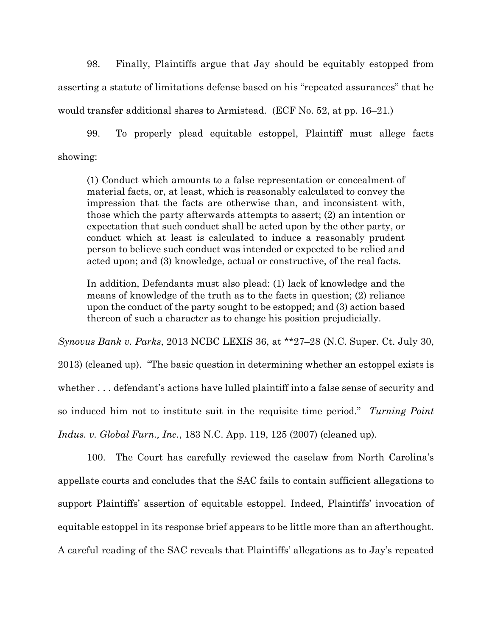98. Finally, Plaintiffs argue that Jay should be equitably estopped from asserting a statute of limitations defense based on his "repeated assurances" that he would transfer additional shares to Armistead. (ECF No. 52, at pp. 16–21.)

99. To properly plead equitable estoppel, Plaintiff must allege facts showing:

(1) Conduct which amounts to a false representation or concealment of material facts, or, at least, which is reasonably calculated to convey the impression that the facts are otherwise than, and inconsistent with, those which the party afterwards attempts to assert; (2) an intention or expectation that such conduct shall be acted upon by the other party, or conduct which at least is calculated to induce a reasonably prudent person to believe such conduct was intended or expected to be relied and acted upon; and (3) knowledge, actual or constructive, of the real facts.

In addition, Defendants must also plead: (1) lack of knowledge and the means of knowledge of the truth as to the facts in question; (2) reliance upon the conduct of the party sought to be estopped; and (3) action based thereon of such a character as to change his position prejudicially.

*Synovus Bank v. Parks*, 2013 NCBC LEXIS 36, at \*\*27–28 (N.C. Super. Ct. July 30, 2013) (cleaned up). "The basic question in determining whether an estoppel exists is whether . . . defendant's actions have lulled plaintiff into a false sense of security and so induced him not to institute suit in the requisite time period." *Turning Point Indus. v. Global Furn., Inc.*, 183 N.C. App. 119, 125 (2007) (cleaned up).

100. The Court has carefully reviewed the caselaw from North Carolina's appellate courts and concludes that the SAC fails to contain sufficient allegations to support Plaintiffs' assertion of equitable estoppel. Indeed, Plaintiffs' invocation of equitable estoppel in its response brief appears to be little more than an afterthought. A careful reading of the SAC reveals that Plaintiffs' allegations as to Jay's repeated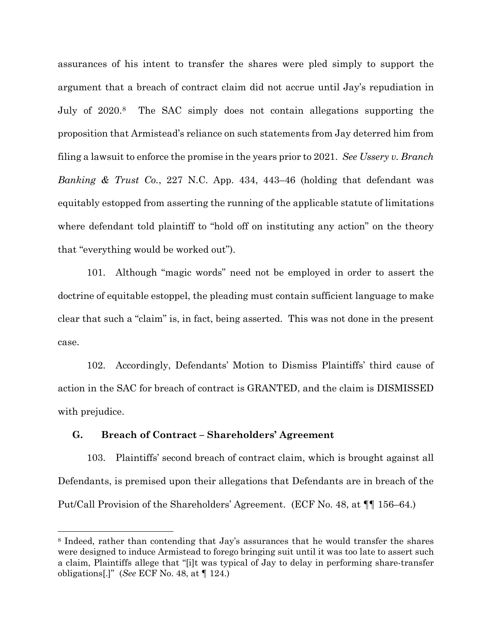assurances of his intent to transfer the shares were pled simply to support the argument that a breach of contract claim did not accrue until Jay's repudiation in July of 2020.[8](#page-35-0) The SAC simply does not contain allegations supporting the proposition that Armistead's reliance on such statements from Jay deterred him from filing a lawsuit to enforce the promise in the years prior to 2021. *See Ussery v. Branch Banking & Trust Co.*, 227 N.C. App. 434, 443–46 (holding that defendant was equitably estopped from asserting the running of the applicable statute of limitations where defendant told plaintiff to "hold off on instituting any action" on the theory that "everything would be worked out").

101. Although "magic words" need not be employed in order to assert the doctrine of equitable estoppel, the pleading must contain sufficient language to make clear that such a "claim" is, in fact, being asserted. This was not done in the present case.

102. Accordingly, Defendants' Motion to Dismiss Plaintiffs' third cause of action in the SAC for breach of contract is GRANTED, and the claim is DISMISSED with prejudice.

### **G. Breach of Contract – Shareholders' Agreement**

103. Plaintiffs' second breach of contract claim, which is brought against all Defendants, is premised upon their allegations that Defendants are in breach of the Put/Call Provision of the Shareholders' Agreement. (ECF No. 48, at ¶¶ 156–64.)

<span id="page-35-0"></span><sup>8</sup> Indeed, rather than contending that Jay's assurances that he would transfer the shares were designed to induce Armistead to forego bringing suit until it was too late to assert such a claim, Plaintiffs allege that "[i]t was typical of Jay to delay in performing share-transfer obligations[.]" (*See* ECF No. 48, at ¶ 124.)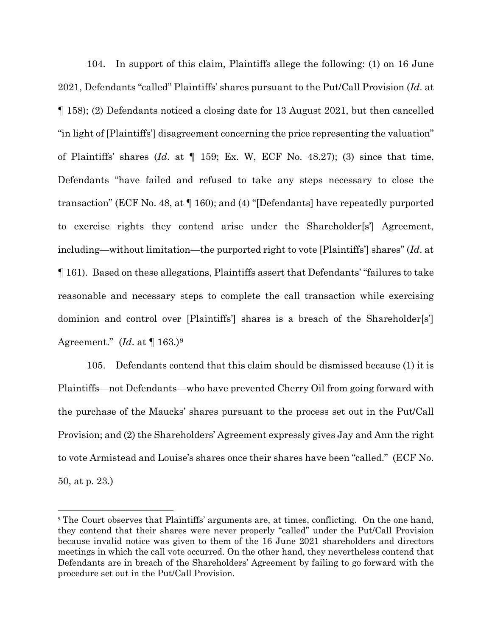104. In support of this claim, Plaintiffs allege the following: (1) on 16 June 2021, Defendants "called" Plaintiffs' shares pursuant to the Put/Call Provision (*Id*. at ¶ 158); (2) Defendants noticed a closing date for 13 August 2021, but then cancelled "in light of [Plaintiffs'] disagreement concerning the price representing the valuation" of Plaintiffs' shares (*Id*. at ¶ 159; Ex. W, ECF No. 48.27); (3) since that time, Defendants "have failed and refused to take any steps necessary to close the transaction" (ECF No. 48, at ¶ 160); and (4) "[Defendants] have repeatedly purported to exercise rights they contend arise under the Shareholder[s'] Agreement, including—without limitation—the purported right to vote [Plaintiffs'] shares" (*Id*. at ¶ 161). Based on these allegations, Plaintiffs assert that Defendants' "failures to take reasonable and necessary steps to complete the call transaction while exercising dominion and control over [Plaintiffs] shares is a breach of the Shareholder[s] Agreement." (*Id*. at ¶ 163.)[9](#page-36-0)

105. Defendants contend that this claim should be dismissed because (1) it is Plaintiffs—not Defendants—who have prevented Cherry Oil from going forward with the purchase of the Maucks' shares pursuant to the process set out in the Put/Call Provision; and (2) the Shareholders' Agreement expressly gives Jay and Ann the right to vote Armistead and Louise's shares once their shares have been "called." (ECF No. 50, at p. 23.)

<span id="page-36-0"></span><sup>9</sup> The Court observes that Plaintiffs' arguments are, at times, conflicting. On the one hand, they contend that their shares were never properly "called" under the Put/Call Provision because invalid notice was given to them of the 16 June 2021 shareholders and directors meetings in which the call vote occurred. On the other hand, they nevertheless contend that Defendants are in breach of the Shareholders' Agreement by failing to go forward with the procedure set out in the Put/Call Provision.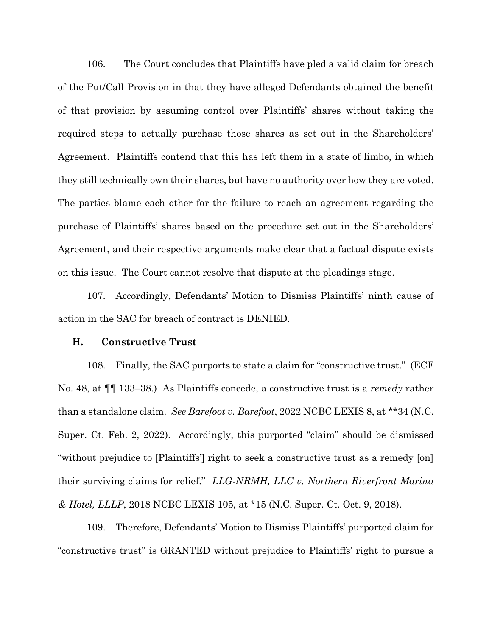106. The Court concludes that Plaintiffs have pled a valid claim for breach of the Put/Call Provision in that they have alleged Defendants obtained the benefit of that provision by assuming control over Plaintiffs' shares without taking the required steps to actually purchase those shares as set out in the Shareholders' Agreement. Plaintiffs contend that this has left them in a state of limbo, in which they still technically own their shares, but have no authority over how they are voted. The parties blame each other for the failure to reach an agreement regarding the purchase of Plaintiffs' shares based on the procedure set out in the Shareholders' Agreement, and their respective arguments make clear that a factual dispute exists on this issue. The Court cannot resolve that dispute at the pleadings stage.

107. Accordingly, Defendants' Motion to Dismiss Plaintiffs' ninth cause of action in the SAC for breach of contract is DENIED.

#### **H. Constructive Trust**

108. Finally, the SAC purports to state a claim for "constructive trust." (ECF No. 48, at ¶¶ 133–38.) As Plaintiffs concede, a constructive trust is a *remedy* rather than a standalone claim. *See Barefoot v. Barefoot*, 2022 NCBC LEXIS 8, at \*\*34 (N.C. Super. Ct. Feb. 2, 2022). Accordingly, this purported "claim" should be dismissed "without prejudice to [Plaintiffs'] right to seek a constructive trust as a remedy [on] their surviving claims for relief." *LLG-NRMH, LLC v. Northern Riverfront Marina & Hotel, LLLP*, 2018 NCBC LEXIS 105, at \*15 (N.C. Super. Ct. Oct. 9, 2018).

109. Therefore, Defendants' Motion to Dismiss Plaintiffs' purported claim for "constructive trust" is GRANTED without prejudice to Plaintiffs' right to pursue a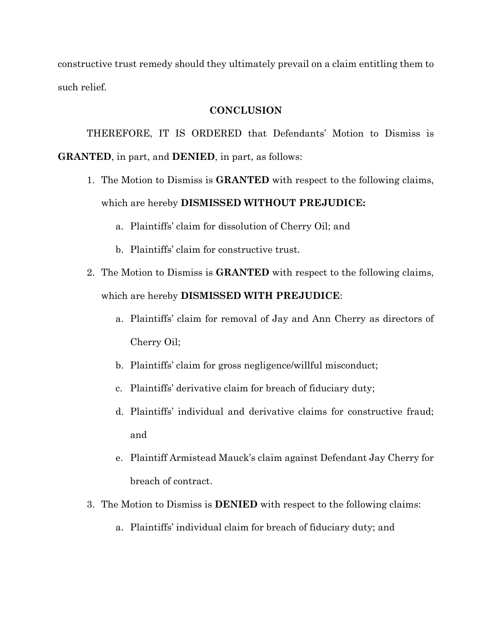constructive trust remedy should they ultimately prevail on a claim entitling them to such relief.

### **CONCLUSION**

THEREFORE, IT IS ORDERED that Defendants' Motion to Dismiss is **GRANTED**, in part, and **DENIED**, in part, as follows:

- 1. The Motion to Dismiss is **GRANTED** with respect to the following claims, which are hereby **DISMISSED WITHOUT PREJUDICE:**
	- a. Plaintiffs' claim for dissolution of Cherry Oil; and
	- b. Plaintiffs' claim for constructive trust.
- 2. The Motion to Dismiss is **GRANTED** with respect to the following claims, which are hereby **DISMISSED WITH PREJUDICE**:
	- a. Plaintiffs' claim for removal of Jay and Ann Cherry as directors of Cherry Oil;
	- b. Plaintiffs' claim for gross negligence/willful misconduct;
	- c. Plaintiffs' derivative claim for breach of fiduciary duty;
	- d. Plaintiffs' individual and derivative claims for constructive fraud; and
	- e. Plaintiff Armistead Mauck's claim against Defendant Jay Cherry for breach of contract.
- 3. The Motion to Dismiss is **DENIED** with respect to the following claims:
	- a. Plaintiffs' individual claim for breach of fiduciary duty; and